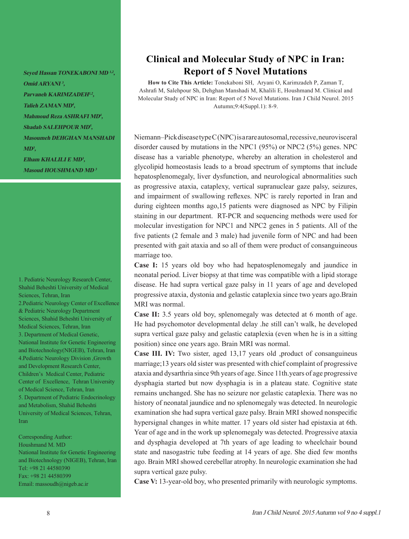**Seyed Hassan TONEKABONI MD 1,2, Omid ARYANI <sup>3</sup>, Parvaneh KARIMZADEH1,2, Talieh ZAMAN MD<sup>4</sup>, Mahmoud Reza ASHRAFI MD<sup>4</sup>, Shadab SALEHPOUR MD<sup>5</sup>, Masoumeh DEHGHAN MANSHADI MD<sup>3</sup>, Elham KHALILI E MD<sup>3</sup>,** 

**Masoud HOUSHMAND MD <sup>3</sup>**

1. Pediatric Neurology Research Center, Shahid Beheshti University of Medical Sciences, Tehran, Iran 2.Pediatric Neurology Center of Excellence & Pediatric Neurology Department Sciences, Shahid Beheshti University of Medical Sciences, Tehran, Iran 3. Department of Medical Genetic, National Institute for Genetic Engineering and Biotechnology(NIGEB), Tehran, Iran 4.Pediatric Neurology Division ,Growth and Development Research Center, Children's Medical Center, Pediatric Center of Excellence, Tehran University of Medical Science, Tehran, Iran 5. Department of Pediatric Endocrinology and Metabolism, Shahid Beheshti University of Medical Sciences, Tehran, Iran

Corresponding Author: Houshmand M. MD National Institute for Genetic Engineering and Biotechnology (NIGEB), Tehran, Iran Tel: +98 21 44580390 Fax: +98 21 44580399 Email: massoudh@nigeb.ac.ir

## **Clinical and Molecular Study of NPC in Iran: Report of 5 Novel Mutations**

**How to Cite This Article:** Tonekaboni SH, Aryani O, Karimzadeh P, Zaman T, Ashrafi M, Salehpour Sh, Dehghan Manshadi M, Khalili E, Houshmand M. Clinical and Molecular Study of NPC in Iran: Report of 5 Novel Mutations. Iran J Child Neurol. 2015 Autumn;9:4(Suppl.1): 8-9.

Niemann–Pick disease type C (NPC) is a rare autosomal, recessive, neurovisceral disorder caused by mutations in the NPC1 (95%) or NPC2 (5%) genes. NPC disease has a variable phenotype, whereby an alteration in cholesterol and glycolipid homeostasis leads to a broad spectrum of symptoms that include hepatosplenomegaly, liver dysfunction, and neurological abnormalities such as progressive ataxia, cataplexy, vertical supranuclear gaze palsy, seizures, and impairment of swallowing reflexes. NPC is rarely reported in Iran and during eighteen months ago,15 patients were diagnosed as NPC by Filipin staining in our department. RT-PCR and sequencing methods were used for molecular investigation for NPC1 and NPC2 genes in 5 patients. All of the five patients (2 female and 3 male) had juvenile form of NPC and had been presented with gait ataxia and so all of them were product of consanguineous marriage too.

**Case I:** 15 years old boy who had hepatosplenomegaly and jaundice in neonatal period. Liver biopsy at that time was compatible with a lipid storage disease. He had supra vertical gaze palsy in 11 years of age and developed progressive ataxia, dystonia and gelastic cataplexia since two years ago.Brain MRI was normal.

**Case II:** 3.5 years old boy, splenomegaly was detected at 6 month of age. He had psychomotor developmental delay .he still can't walk, he developed supra vertical gaze palsy and gelastic cataplexia (even when he is in a sitting position) since one years ago. Brain MRI was normal.

**Case III. IV:** Two sister, aged 13,17 years old ,product of consanguineus marriage;13 years old sister was presented with chief complaint of progressive ataxia and dysarthria since 9th years of age. Since 11th.years of age progressive dysphagia started but now dysphagia is in a plateau state. Cognitive state remains unchanged. She has no seizure nor gelastic cataplexia. There was no history of neonatal jaundice and no splenomegaly was detected. In neurologic examination she had supra vertical gaze palsy. Brain MRI showed nonspecific hypersignal changes in white matter. 17 years old sister had epistaxia at 6th. Year of age and in the work up splenomegaly was detected. Progressive ataxia and dysphagia developed at 7th years of age leading to wheelchair bound state and nasogastric tube feeding at 14 years of age. She died few months ago. Brain MRI showed cerebellar atrophy. In neurologic examination she had supra vertical gaze pulsy.

**Case V:** 13-year-old boy, who presented primarily with neurologic symptoms.